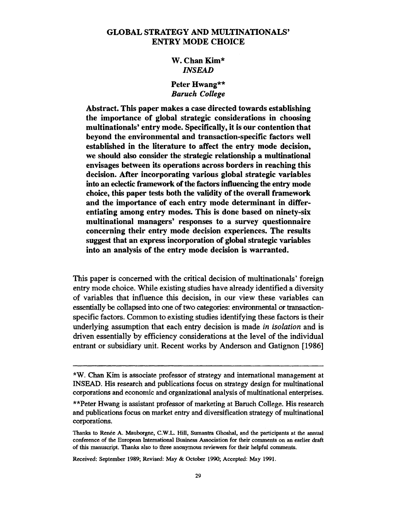## **GLOBAL STRATEGY AND MULTINATIONALS' ENTRY MODE CHOICE**

## **W. Chan Kim\* INSEAD**

## **Peter Hwang\*\* Baruch College**

**Abstract. This paper makes a case directed towards establishing the importance of global strategic considerations in choosing multinationals' entry mode. Specifically, it is our contention that beyond the environmental and transaction-specific factors well established in the literature to affect the entry mode decision, we should also consider the strategic relationship a multinational envisages between its operations across borders in reaching this decision. After incorporating various global strategic variables into an eclectic framework of the factors influencing the entry mode choice, this paper tests both the validity of the overall framework and the importance of each entry mode determinant in differentiating among entry modes. This is done based on ninety-six multinational managers' responses to a survey questionnaire concerning their entry mode decision experiences. The results suggest that an express incorporation of global strategic variables into an analysis of the entry mode decision is warranted.** 

**This paper is concerned with the critical decision of multinationals' foreign entry mode choice. While existing studies have already identified a diversity of variables that influence this decision, in our view these variables can essentially be collapsed into one of two categories: environmental or ftansactionspecific factors. Common to existing studies identifying these factors is their underlying assumption that each entry decision is made in isolation and is driven essentially by efficiency considerations at the level of the individual entrant or subsidiary unit. Recent works by Anderson and Gatignon [1986]** 

**Received: September 1989; Revised: May & October 1990; Accepted: May 1991.** 

**<sup>\*</sup>W. Chan Kim is associate professor of strategy and international management at INSEAD. His research and publications focus on strategy design for multinational corporations and economic and organizational analysis of multinational enterprises.** 

**<sup>\*\*</sup>Peter Hwang is assistant professor of marketing at Baruch College. His research and publications focus on market entry and diversification strategy of multinational corporations.** 

**Thanks to Renee A. Mauborgne, C.W.L. Hill, Sumantra Ghoshal, and the participants at the annual conference of the European International Business Association for their comments on an earlier draft of this manuscript. Thanks also to three anonymous reviewers for their helpful comments.**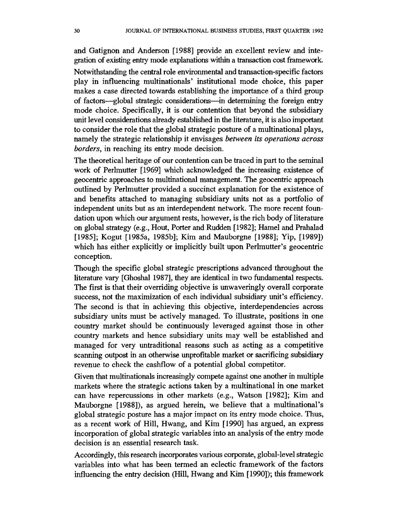**and Gatignon and Anderson [1988] provide an excellent review and integration of existing entry mode explanations within a transaction cost framework.** 

**Notwithstanding the central role environmental and transaction-specific factors play in influencing multinationals' institutional mode choice, this paper makes a case directed towards establishing the importance of a third group of factors-global strategic considerations-in determining the foreign entry mode choice. Specifically, it is our contention that beyond the subsidiary unit level considerations already established in the literature, it is also important to consider the role that the global strategic posture of a multinational plays, namely the strategic relationship it envisages between its operations across borders, in reaching its entry mode decision.** 

**The theoretical heritage of our contention can be traced in part to the seminal work of Perlmutter [1969] which acknowledged the increasing existence of geocentric approaches to multinational management. The geocentric approach outlined by Perlmutter provided a succinct explanation for the existence of and benefits attached to managing subsidiary units not as a portfolio of independent units but as an interdependent network. The more recent foundation upon which our argument rests, however, is the rich body of literature on global strategy (e.g., Hout, Porter and Rudden [1982]; Hamel and Prahalad [1985]; Kogut [1985a, 1985b]; Kim and Mauborgne [1988]; Yip, [1989]) which has either explicitly or implicitly built upon Perlmutter's geocentric conception.** 

**Though the specific global strategic prescriptions advanced throughout the literature vary [Ghoshal 1987], they are identical in two fundamental respects. The first is that their overriding objective is unwaveringly overall corporate success, not the maximization of each individual subsidiary unit's efficiency. The second is that in achieving this objective, interdependencies across subsidiary units must be actively managed. To illustrate, positions in one country market should be continuously leveraged against those in other country markets and hence subsidiary units may well be established and managed for very untraditional reasons such as acting as a competitive scanning outpost in an otherwise unprofitable market or sacrificing subsidiary revenue to check the cashflow of a potential global competitor.** 

**Given that multinationals increasingly compete against one another in multiple markets where the strategic actions taken by a multinational in one market can have repercussions in other markets (e.g., Watson [1982]; Kim and Mauborgne [1988]), as argued herein, we believe that a multinational's global strategic posture has a major impact on its entry mode choice. Thus, as a recent work of Hill, Hwang, and Kim [1990] has argued, an express incorporation of global strategic variables into an analysis of the entry mode decision is an essential research task.** 

**Accordingly, this research incorporates various corporate, global-level strategic variables into what has been termed an eclectic framework of the factors influencing the entry decision (Hill, Hwang and Kim [1990]); this framework**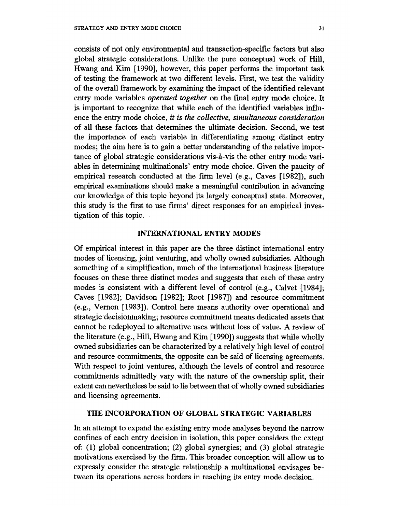**consists of not only environmental and transaction-specific factors but also global strategic considerations. Unlike the pure conceptual work of Hill, Hwang and Kim [1990], however, this paper performs the important task of testing the framework at two different levels. First, we test the validity of the overall framework by examining the impact of the identified relevant entry mode variables operated together on the final entry mode choice. It**  is important to recognize that while each of the identified variables influ**ence the entry mode choice, it is the collective, simultaneous consideration of all these factors that determines the ultimate decision. Second, we test the importance of each variable in differentiating among distinct entry modes; the aim here is to gain a better understanding of the relative impor**tance of global strategic considerations vis-à-vis the other entry mode variables in determining multinationals' entry mode choice. Given the paucity of **empirical research conducted at the firm level (e.g., Caves [1982]), such empirical examinations hould make a meaningful contribution in advancing our knowledge of this topic beyond its largely conceptual state. Moreover, this study is the first to use finns' direct responses for an empirical investigation of this topic.** 

#### **INTERNATIONAL ENTRY MODES**

**Of empirical interest in this paper are the three distinct international entry modes of licensing, joint venturing, and wholly owned subsidiaries. Although something of a simplification, much of the international business literature focuses on these three distinct modes and suggests that each of these entry modes is consistent with a different level of control (e.g., Calvet [1984]; Caves [1982]; Davidson [1982]; Root [1987]) and resource commitment (e.g., Vernon [1983]). Control here means authority over operational and strategic decisionmaking; resource commitment means dedicated assets that cannot be redeployed to alternative uses without loss of value. A review of the literature (e.g., Hill, Hwang and Kim [1990]) suggests that while wholly owned subsidiaries can be characterized by a relatively high level of control and resource commitments, the opposite can be said of licensing agreements. With respect to joint ventures, although the levels of control and resource commitments admittedly vary with the nature of the ownership split, their extent can nevertheless be said to lie between that of wholly owned subsidiaries and licensing agreements.** 

### **THE INCORPORATION OF GLOBAL STRATEGIC VARIABLES**

**In an attempt to expand the existing entry mode analyses beyond the narrow confines of each entry decision in isolation, this paper considers the extent of: (1) global concentration; (2) global synergies; and (3) global strategic motivations exercised by the firm. This broader conception will allow us to expressly consider the strategic relationship a multinational envisages between its operations across borders in reaching its entry mode decision.**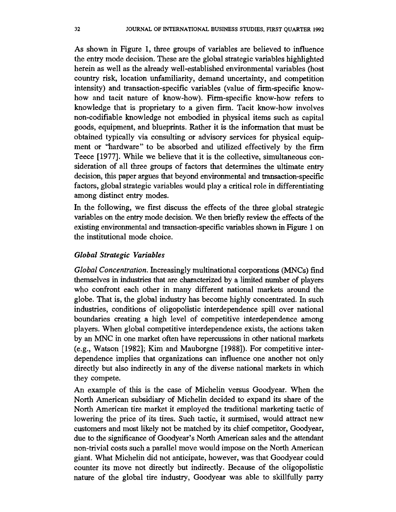**As shown in Figure 1, three groups of variables are believed to influence the entry mode decision. These are the global strategic variables highlighted herein as well as the already well-established environmental variables (host country risk, location unfamiliarity, demand uncertainty, and competition intensity) and transaction-specific variables (value of firm-specific knowhow and tacit nature of know-how). Firm-specific know-how refers to knowledge that is proprietary to a given firm. Tacit know-how involves non-codifiable knowledge not embodied in physical items such as capital goods, equipment, and blueprints. Rather it is the information that must be obtained typically via consulting or advisory services for physical equipment or "hardware" to be absorbed and utilized effectively by the firm Teece [1977]. While we believe that it is the collective, simultaneous consideration of all three groups of factors that deternines the ultimate entry decision, this paper argues that beyond environmental and transaction-specific factors, global strategic variables would play a critical role in differentiating among distinct entry modes.** 

**In the following, we first discuss the effects of the three global strategic variables on the entry mode decision. We then briefly review the effects of the existing environmental and transaction-specific variables hown in Figure 1 on the institutional mode choice.** 

### **Global Strategic Variables**

**Global Concentration. Increasingly multinational corporations (MNCs) find themselves in industries that are characterized by a limited number of players who confront each other in many different national markets around the globe. That is, the global industry has become highly concentrated. In such industries, conditions of oligopolistic interdependence spill over national boundaries creating a high level of competitive interdependence among**  players. When global competitive interdependence exists, the actions taken **by an MNC in one market often have repercussions in other national markets (e.g., Watson [1982]; Kim and Mauborgne [1988]). For competitive interdependence implies that organizations can influence one another not only directly but also indirectly in any of the diverse national markets in which they compete.** 

**An example of this is the case of Michelin versus Goodyear. When the North American subsidiary of Michelin decided to expand its share of the North American tire market it employed the traditional marketing tactic of lowering the price of its tires. Such tactic, it surmised, would attract new customers and most likely not be matched by its chief competitor, Goodyear, due to the significance of Goodyear's North American sales and the attendant non-trivial costs such a parallel move would impose on the North American giant. What Michelin did not anticipate, however, was that Goodyear could counter its move not directly but indirectly. Because of the oligopolistic nature of the global tire industry, Goodyear was able to skillfully parry**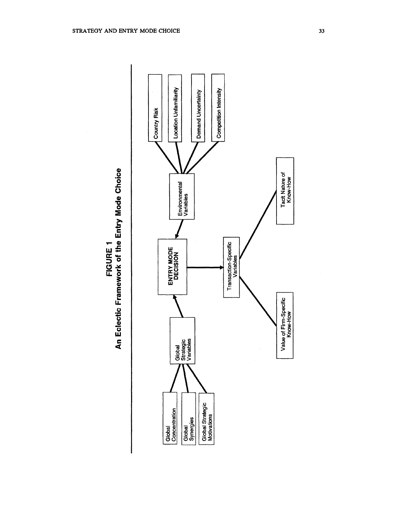**0>** 

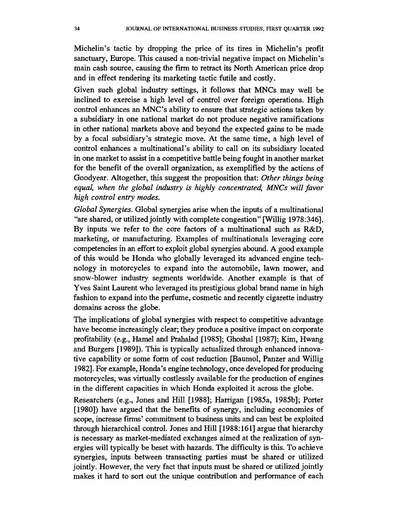**Michelin's tactic by dropping the price of its tires in Michelin's profit sanctuary, Europe. This caused a non-trivial negative impact on Michelin's**  main cash source, causing the firm to retract its North American price drop **and in effect rendering its marketing tactic futile and costly.** 

**Given such global industry settings, it follows that MNCs may well be inclined to exercise a high level of control over foreign operations. High control enhances an MNC's ability to ensure that strategic actions taken by a subsidiary in one national market do not produce negative ramifications in other national markets above and beyond the expected gains to be made by a focal subsidiary's strategic move. At the same time, a high level of control enhances a multinational's ability to call on its subsidiary located in one market to assist in a competitive battle being fought in another market for the benefit of the overall organization, as exemplified by the actions of Goodyear. Altogether, this suggest the proposition that: Other things being equal, when the global industry is highly concentrated, MNCs will favor high control entry modes.** 

**Global Synergies. Global synergies arise when the inputs of a multinational "are shared, or utilized jointly with complete congestion" [Willig 1978:346]. By inputs we refer to the core factors of a multinational such as R&D, marketing, or manufacturing. Examples of multinationals leveraging core competencies in an effort to exploit global synergies abound. A good example of this would be Honda who globally leveraged its advanced engine technology in motorcycles to expand into the automobile, lawn mower, and snow-blower industry segments worldwide. Another example is that of Yves Saint Laurent who leveraged its prestigious global brand name in high fashion to expand into the perfume, cosmetic and recently cigarette industry domains across the globe.** 

**The implications of global synergies with respect to competitive advantage have become increasingly clear; they produce a positive impact on corporate profitability (e.g., Hamel and Prahalad [1985]; Ghoshal [1987]; Kim, Hwang and Burgers [1989]). This is typically actualized through enhanced innovative capability or some form of cost reduction [Baumol, Panzer and Willig 1982]. For example, Honda's engine technology, once developed for producing motorcycles, was virtually costlessly available for the production of engines in the different capacities in which Honda exploited it across the globe.** 

**Researchers (e.g., Jones and Hill [1988]; Harrigan [1985a, 1985b]; Porter [1980]) have argued that the benefits of synergy, including economies of scope, increase firms' commitment to business units and can best be exploited through hierarchical control. Jones and Hill [1988:161] argue that hierarchy is necessary as market-mediated exchanges aimed at the realization of synergies will typically be beset with hazards. The difficulty is this. To achieve synergies, inputs between transacting parties must be shared or utilized jointly. However, the very fact that inputs must be shared or utilized jointly makes it hard to sort out the unique contribution and performance of each**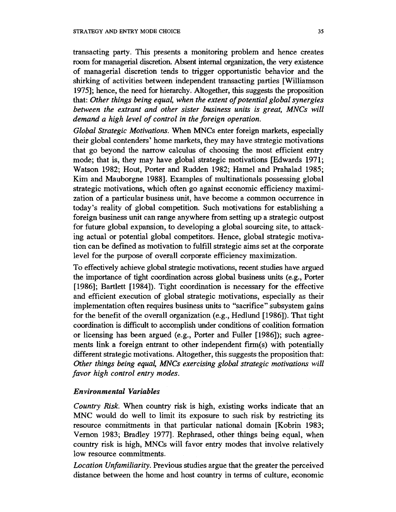**transacting party. This presents a monitoring problem and hence creates room for managerial discretion. Absent internal organization, the very existence of managerial discretion tends to trigger opportunistic behavior and the shirking of activities between independent transacting parties [Williamson 1975]; hence, the need for hierarchy. Altogether, this suggests the proposition that: Other things being equal, when the extent of potential global synergies between the extrant and other sister business units is great, MNCs will demand a high level of control in the foreign operation.** 

**Global Strategic Motivations. When MNCs enter foreign markets, especially their global contenders' home markets, they may have strategic motivations that go beyond the narrow calculus of choosing the most efficient entry mode; that is, they may have global strategic motivations [Edwards 1971; Watson 1982; Hout, Porter and Rudden 1982; Hamel and Prahalad 1985; Kim and Mauborgne 1988]. Examples of multinationals possessing global strategic motivations, which often go against economic efficiency maximization of a particular business unit, have become a common occurrence in today's reality of global competition. Such motivations for establishing a foreign business unit can range anywhere from setting up a strategic outpost for future global expansion, to developing a global sourcing site, to attacking actual or potential global competitors. Hence, global strategic motivation can be defined as motivation to fulfill strategic aims set at the corporate level for the purpose of overall corporate efficiency maximization.** 

**To effectively achieve global strategic motivations, recent studies have argued the importance of tight coordination across global business units (e.g., Porter [1986]; Bartlett [1984]). Tight coordination is necessary for the effective and efficient execution of global strategic motivations, especially as their implementation often requires business units to "sacrifice" subsystem gains for the benefit of the overall organization (e.g., Hedlund [1986]). That tight coordination is difficult to accomplish under conditions of coalition formation or licensing has been argued (e.g., Porter and Fuller [1986]); such agreements link a foreign entrant to other independent firm(s) with potentially different strategic motivations. Altogether, this suggests the proposition that: Other things being equal, MNCs exercising global strategic motivations will favor high control entry modes.** 

#### **Environmental Variables**

**Country Risk. When country risk is high, existing works indicate that an MNC would do well to limit its exposure to such risk by restricting its resource commitments in that particular national domain [Kobrin 1983; Vernon 1983; Bradley 1977]. Rephrased, other things being equal, when country risk is high, MNCs will favor entry modes that involve relatively low resource commitments.** 

**Location Unfamiliarity. Previous studies argue that the greater the perceived distance between the home and host country in terms of culture, economic**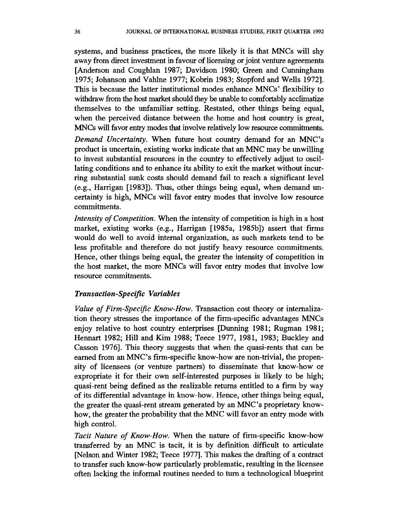**systems, and business practices, the more likely it is that MNCs will shy away from direct investment in favour of licensing or joint venture agreements [Anderson and Coughlan 1987; Davidson 1980; Green and Cunningham 1975; Johanson and Vahlne 1977; Kobrin 1983; Stopford and Wells 1972]. This is because the latter institutional modes enhance MNCs' flexibility to withdraw from the host market should they be unable to comfortably acclimatize themselves to the unfamiliar setting. Restated, other things being equal, when the perceived distance between the home and host country is great, MNCs will favor entry modes that involve relatively low resource commitments.** 

**Demand Uncertainty. When future host country demand for an MNC's product is uncertain, existing works indicate that an MNC may be unwilling to invest substantial resources in the country to effectively adjust to oscillating conditions and to enhance its ability to exit the market without incurring substantial sunk costs should demand fail to reach a significant level (e.g., Harrigan [1983]). Thus, other things being equal, when demand uncertainty is high, MNCs will favor entry modes that involve low resource commitments.** 

**Intensity of Competition. When the intensity of competition is high in a host market, existing works (e.g., Harrigan [1985a, 1985b]) assert that firns would do well to avoid internal organization, as such markets tend to be less profitable and therefore do not justify heavy resource commitments. Hence, other things being equal, the greater the intensity of competition in the host market, the more MNCs will favor entry modes that involve low resource commitments.** 

### **Transaction-Specific Variables**

**Value of Firm-Specific Know-How. Transaction cost theory or internaliza**tion theory stresses the importance of the firm-specific advantages MNCs **enjoy relative to host country enterprises [Dunning 1981; Rugman 1981; Hennart 1982; Hill and Kim 1988; Teece 1977, 1981, 1983; Buckley and Casson 1976]. This theory suggests that when the quasi-rents that can be earned from an MNC's firm-specific know-how are non-trivial, the propensity of licensees (or venture partners) to disseminate that know-how or expropriate it for their own self-interested purposes is likely to be high; quasi-rent being defined as the realizable returns entitled to a firm by way of its differential advantage in know-how. Hence, other things being equal, the greater the quasi-rent stream generated by an MNC's proprietary knowhow, the greater the probability that the MNC will favor an entry mode with high control.** 

**Tacit Nature of Know-How. When the nature of firm-specific know-how transferred by an MNC is tacit, it is by definition difficult to articulate [Nelson and Winter 1982; Teece 1977]. This makes the drafting of a contract to transfer such know-how particularly problematic, resulting in the licensee often lacking the informal routines needed to turn a technological blueprint**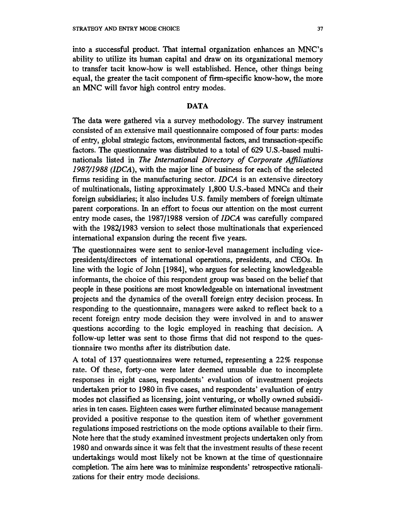**into a successful product. That internal organization enhances an MNC's ability to utilize its human capital and draw on its organizational memory to transfer tacit know-how is well established. Hence, other things being equal, the greater the tacit component of firn-specific know-how, the more an MNC will favor high control entry modes.** 

#### **DATA**

**The data were gathered via a survey methodology. The survey instrument consisted of an extensive mail questionnaire composed of four parts: modes of entry, global strategic factors, environmental factors, and transaction-specific factors. The questionnaire was distributed to a total of 629 U.S.-based multinationals listed in The International Directory of Corporate Afiliations 1987/1988 (IDCA), with the major line of business for each of the selected firns residing in the manufacturing sector. IDCA is an extensive directory of multinationals, listing approximately 1,800 U.S.-based MNCs and their foreign subsidiaries; it also includes U.S. family members of foreign ultimate parent corporations. In an effort to focus our attention on the most current entry mode cases, the 1987/1988 version of IDCA was carefully compared with the 1982/1983 version to select those multinationals that experienced international expansion during the recent five years.** 

**The questionnaires were sent to senior-level management including vicepresidents/directors of international operations, presidents, and CEOs. In line with the logic of John [1984], who argues for selecting knowledgeable informants, the choice of this respondent group was based on the belief that people in these positions are most knowledgeable on international investment projects and the dynamics of the overall foreign entry decision process. In responding to the questionnaire, managers were asked to reflect back to a recent foreign entry mode decision they were involved in and to answer questions according to the logic employed in reaching that decision. A follow-up letter was sent to those firms that did not respond to the questionnaire two months after its distribution date.** 

**A total of 137 questionnaires were returned, representing a 22% response rate. Of these, forty-one were later deemed unusable due to incomplete responses in eight cases, respondents' evaluation of investment projects undertaken prior to 1980 in five cases, and respondents' evaluation of entry modes not classified as licensing, joint venturing, or wholly owned subsidiaries in ten cases. Eighteen cases were further eliminated because management provided a positive response to the question item of whether government regulations imposed restrictions on the mode options available to their firm. Note here that the study examined investment projects undertaken only from 1980 and onwards since it was felt that the investment results of these recent undertakings would most likely not be known at the time of questionnaire completion. The aim here was to minimize respondents' retrospective rationalizations for their entry mode decisions.**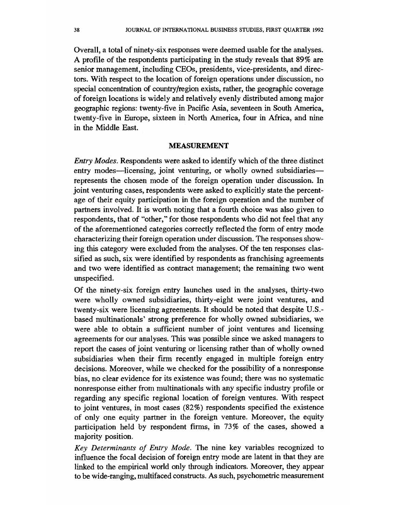**Overall, a total of ninety-six responses were deemed usable for the analyses. A profile of the respondents participating in the study reveals that 89% are senior management, including CEOs, presidents, vice-presidents, and directors. With respect to the location of foreign operations under discussion, no special concentration of country/region exists, rather, the geographic coverage of foreign locations is widely and relatively evenly distributed among major geographic regions: twenty-five in Pacific Asia, seventeen in South America, twenty-five in Europe, sixteen in North America, four in Africa, and nine in the Middle East.** 

### **MEASUREMENT**

**Entry Modes. Respondents were asked to identify which of the three distinct**  entry modes—licensing, joint venturing, or wholly owned subsidiaries **represents the chosen mode of the foreign operation under discussion. In joint venturing cases, respondents were asked to explicitly state the percentage of their equity participation in the foreign operation and the number of partners involved. It is worth noting that a fourth choice was also given to respondents, that of "other," for those respondents who did not feel that any of the aforementioned categories correctly reflected the form of entry mode characterizing their foreign operation under discussion. The responses showing this category were excluded from the analyses. Of the ten responses classified as such, six were identified by respondents as franchising agreements and two were identified as contract management; the remaining two went unspecified.** 

**Of the ninety-six foreign entry launches used in the analyses, thirty-two were wholly owned subsidiaries, thirty-eight were joint ventures, and twenty-six were licensing agreements. It should be noted that despite U.S. based multinationals' strong preference for wholly owned subsidiaries, we were able to obtain a sufficient number of joint ventures and licensing agreements for our analyses. This was possible since we asked managers to report the cases of joint venturing or licensing rather than of wholly owned subsidiaries when their firm recently engaged in multiple foreign entry decisions. Moreover, while we checked for the possibility of a nonresponse bias, no clear evidence for its existence was found; there was no systematic nonresponse either from multinationals with any specific industry profile or regarding any specific regional location of foreign ventures. With respect to joint ventures, in most cases (82%) respondents specified the existence of only one equity partner in the foreign venture. Moreover, the equity participation held by respondent firms, in 73% of the cases, showed a majority position.** 

**Key Determinants of Entry Mode. The nine key variables recognized to influence the focal decision of foreign entry mode are latent in that they are linked to the empirical world only through indicators. Moreover, they appear to be wide-ranging, multifaced constructs. As such, psychometric measurement**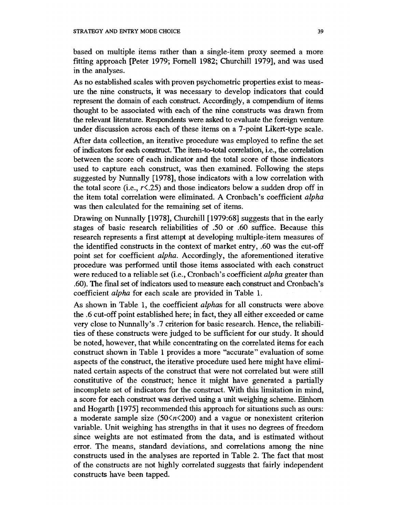**based on multiple items rather than a single-item proxy seemed a more**  fitting approach [Peter 1979; Fornell 1982; Churchill 1979], and was used **in the analyses.** 

**As no established scales with proven psychometric properties exist to measure the nine constructs, it was necessary to develop indicators that could represent the domain of each construct. Accordingly, a compendium of items thought to be associated with each of the nine constructs was drawn from the relevant literature. Respondents were asked to evaluate the foreign venture under discussion across each of these items on a 7-point Likert-type scale.** 

**After data collection, an iterative procedure was employed to refine the set of indicators for each construct. The item-to-total correlation, i.e., the correlation between the score of each indicator and the total score of those indicators used to capture each construct, was then examined. Following the steps suggested by Nunnally [1978], those indicators with a low correlation with the total score (i.e., r<.25) and those indicators below a sudden drop off in the item total correlation were eliminated. A Cronbach's coefficient alpha was then calculated for the remaining set of items.** 

**Drawing on Nunnally [1978], Churchill [1979:68] suggests that in the early stages of basic research reliabilities of .50 or .60 suffice. Because this research represents a first attempt at developing multiple-item measures of the identified constructs in the context of market entry, .60 was the cut-off point set for coefficient alpha. Accordingly, the aforementioned iterative procedure was performed until those items associated with each construct were reduced to a reliable set (i.e., Cronbach's coefficient alpha greater than .60). The fimal set of indicators used to measure each construct and Cronbach's coefficient alpha for each scale are provided in Table 1.** 

**As shown in Table 1, the coefficient alphas for all constructs were above the .6 cut-off point established here; in fact, they all either exceeded or came very close to Nunnally's .7 criterion for basic research. Hence, the reliabilities of these constructs were judged to be sufficient for our study. It should be noted, however, that while concentrating on the correlated items for each construct shown in Table 1 provides a more "accurate" evaluation of some aspects of the construct, the iterative procedure used here might have eliminated certain aspects of the construct that were not correlated but were still constitutive of the construct; hence it might have generated a partially incomplete set of indicators for the construct. With this limitation in mind, a score for each construct was derived using a unit weighing scheme. Einhom and Hogarth [1975] recommended this approach for situations such as ours:**  a moderate sample size  $(50 \le n \le 200)$  and a vague or nonexistent criterion **variable. Unit weighing has strengths in that it uses no degrees of freedom since weights are not estimated from the data, and is estimated without error. The means, standard deviations, and correlations among the nine constructs used in the analyses are reported in Table 2. The fact that most of the constructs are not highly correlated suggests that fairly independent constructs have been tapped.**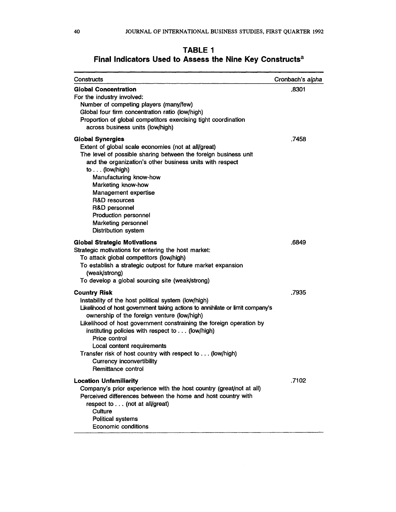# **TABLE I Final Indicators Used to Assess the Nine Key Constructsa**

| Constructs                                                                                                                                                                                                                                                                                                                                                                                                                                                                                                | Cronbach's alpha |
|-----------------------------------------------------------------------------------------------------------------------------------------------------------------------------------------------------------------------------------------------------------------------------------------------------------------------------------------------------------------------------------------------------------------------------------------------------------------------------------------------------------|------------------|
| <b>Global Concentration</b><br>For the industry involved:<br>Number of competing players (many/few)<br>Global four firm concentration ratio (low/high)<br>Proportion of global competitors exercising tight coordination<br>across business units (low/high)                                                                                                                                                                                                                                              | .8301            |
| <b>Global Synergies</b><br>Extent of global scale economies (not at all/great)<br>The level of possible sharing between the foreign business unit<br>and the organization's other business units with respect<br>to $\ldots$ (low/high)<br>Manufacturing know-how<br>Marketing know-how<br>Management expertise<br><b>R&amp;D</b> resources<br>R&D personnel<br>Production personnel<br>Marketing personnel<br><b>Distribution system</b>                                                                 | .7458            |
| <b>Global Strategic Motivations</b><br>Strategic motivations for entering the host market:<br>To attack global competitors (low/high)<br>To establish a strategic outpost for future market expansion<br>(weak/strong)<br>To develop a global sourcing site (weak/strong)                                                                                                                                                                                                                                 | .6849            |
| <b>Country Risk</b><br>Instability of the host political system (low/high)<br>Likelihood of host government taking actions to annihilate or limit company's<br>ownership of the foreign venture (low/high)<br>Likelihood of host government constraining the foreign operation by<br>instituting policies with respect to (low/high)<br>Price control<br>Local content requirements<br>Transfer risk of host country with respect to (low/high)<br><b>Currency inconvertibility</b><br>Remittance control | .7935            |
| <b>Location Unfamiliarity</b><br>Company's prior experience with the host country (great/not at all)<br>Perceived differences between the home and host country with<br>respect to (not at all/great)<br>Culture<br><b>Political systems</b><br>Economic conditions                                                                                                                                                                                                                                       | .7102            |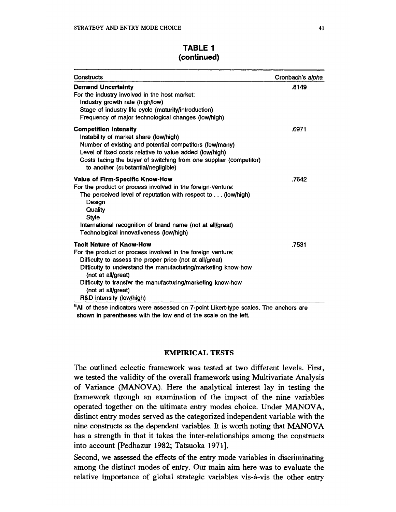| TABLE 1     |  |
|-------------|--|
| (continued) |  |

| Constructs                                                                                                                                                                                                                                                                                                                                                         | Cronbach's alpha |
|--------------------------------------------------------------------------------------------------------------------------------------------------------------------------------------------------------------------------------------------------------------------------------------------------------------------------------------------------------------------|------------------|
| <b>Demand Uncertainty</b><br>For the industry involved in the host market:<br>Industry growth rate (high/low)<br>Stage of industry life cycle (maturity/introduction)<br>Frequency of major technological changes (low/high)                                                                                                                                       | .8149            |
| <b>Competition Intensity</b><br>Instability of market share (low/high)<br>Number of existing and potential competitors (few/many)<br>Level of fixed costs relative to value added (low/high)<br>Costs facing the buyer of switching from one supplier (competitor)<br>to another (substantial/negligible)                                                          | .6971            |
| Value of Firm-Specific Know-How<br>For the product or process involved in the foreign venture:<br>The perceived level of reputation with respect to  (low/high)<br>Design<br>Quality<br><b>Style</b><br>International recognition of brand name (not at all/great)<br>Technological innovativeness (low/high)                                                      | .7642            |
| <b>Tacit Nature of Know-How</b><br>For the product or process involved in the foreign venture:<br>Difficulty to assess the proper price (not at all/great)<br>Difficulty to understand the manufacturing/marketing know-how<br>(not at all/great)<br>Difficulty to transfer the manufacturing/marketing know-how<br>(not at all/great)<br>R&D intensity (low/high) | .7531            |

**aAll of these indicators were assessed on 7-point Likert-type scales. The anchors are shown in parentheses with the low end of the scale on the left.** 

## **EMPIRICAL TESTS**

**The outlined eclectic framework was tested at two different levels. First, we tested the validity of the overall framework using Multivariate Analysis of Variance (MANOVA). Here the analytical interest lay in testing the framework through an examination of the impact of the nine variables operated together on the ultimate entry modes choice. Under MANOVA, distinct entry modes served as the categorized independent variable with the nine constructs as the dependent variables. It is worth noting that MANOVA has a strength in that it takes the inter-relationships among the constructs into account [Pedhazur 1982; Tatsuoka 1971].** 

**Second, we assessed the effects of the entry mode variables in discriminating among the distinct modes of entry. Our main aim here was to evaluate the relative importance of global strategic variables vis-a-vis the other entry**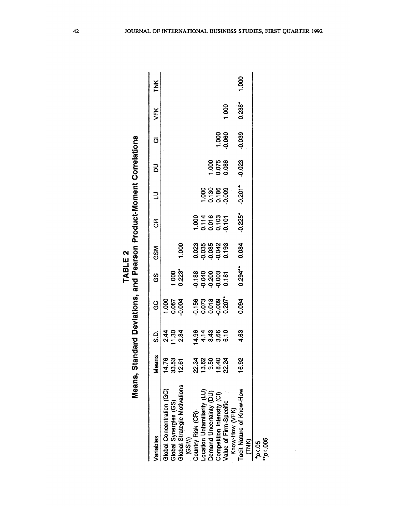| くしにいけ<br>ı | Γ           |
|------------|-------------|
|            | ا<br>ا<br>ļ |
|            |             |
|            |             |

|                                        |                 |                           | Means, Standard Deviations, and Pearson Product-Moment Correlations |                                                 |            |                              |                       |                         |                    |          |       |
|----------------------------------------|-----------------|---------------------------|---------------------------------------------------------------------|-------------------------------------------------|------------|------------------------------|-----------------------|-------------------------|--------------------|----------|-------|
| /ariables                              | Means           | ດ<br>ຜ                    | ပ္ပ                                                                 | ပ္ပ                                             | <b>GSM</b> | წ<br>ე                       | ∃                     | 2<br>9                  | $\overline{\circ}$ | VFK      | TNK   |
| Global Concentration (GC)              | 14.7            |                           |                                                                     |                                                 |            |                              |                       |                         |                    |          |       |
| Global Synergies (GS)                  | 14.76<br>33.53  | si – si<br>4 9 9<br>4 9 9 | 1.000<br>0.067<br>0.004                                             |                                                 |            |                              |                       |                         |                    |          |       |
| Global Strategic Motivations<br>(GSM)  | $\frac{2.6}{2}$ |                           |                                                                     | $1.000$<br>$0.223$                              | 1.000      |                              |                       |                         |                    |          |       |
| Country Risk (CR)                      | 22.34           |                           |                                                                     |                                                 |            |                              |                       |                         |                    |          |       |
| Location Unfamiliarity (LU)            |                 |                           | <b>56</b><br>1567800207<br>000000                                   | 88<br>0<br>0<br>0<br>0<br>0<br>0<br>0<br>0<br>0 |            | 00116<br>00100101<br>0000101 |                       |                         |                    |          |       |
| Demand Uncertainty (DU)                | $13.50$<br>9.50 |                           |                                                                     |                                                 |            |                              | 000<br>0.136<br>0.000 |                         |                    |          |       |
| Competition Intensity (CI)             | 18.40           |                           |                                                                     |                                                 |            |                              |                       | 1.000<br>0.075<br>0.086 |                    |          |       |
| Value of Firm-Specific                 | 22.24           |                           |                                                                     |                                                 |            |                              |                       |                         | 1.000<br>0.060     | 1.000    |       |
| Know-How (VFK)                         |                 |                           |                                                                     |                                                 |            |                              |                       |                         |                    |          |       |
| Tacit Nature of Know-How<br><b>ENK</b> | 16.92           | 4.63                      | 0.094                                                               | $0.294***$                                      | 0.084      | $-0.225$ <sup>*</sup>        | $-0.201$              | $-0.023$                | $-0.039$           | $0.238*$ | 1.000 |
| $p$ <.05                               |                 |                           |                                                                     |                                                 |            |                              |                       |                         |                    |          |       |
| $m_{p<.005}$                           |                 |                           |                                                                     |                                                 |            |                              |                       |                         |                    |          |       |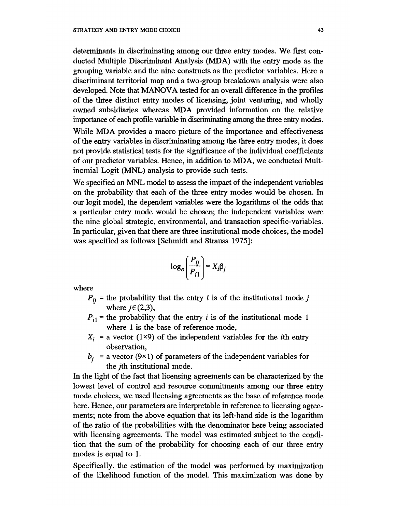**determinants in discriminating among our three entry modes. We first conducted Multiple Discriminant Analysis (MDA) with the entry mode as the grouping variable and the nine constructs as the predictor variables. Here a discriminant territorial map and a two-group breakdown analysis were also developed. Note that MANOVA tested for an overall difference in the profiles of the three distinct entry modes of licensing, joint venturing, and wholly owned subsidiaries whereas MDA provided information on the relative importance of each profile variable in discriminating among the three entry modes.** 

**While MDA provides a macro picture of the importance and effectiveness of the entry variables in discriminating among the three entry modes, it does not provide statistical tests for the significance of the individual coefficients of our predictor variables. Hence, in addition to MDA, we conducted Multinomial Logit (MNL) analysis to provide such tests.** 

**We specified an MNL model to assess the impact of the independent variables on the probability that each of the three entry modes would be chosen. In our logit model, the dependent variables were the logarithms of the odds that a particular entry mode would be chosen; the independent variables were the nine global strategic, environmental, and transaction specific-variables. In particular, given that there are three institutional mode choices, the model was specified as follows [Schmidt and Strauss 1975]:** 

$$
\log_e \left( \frac{P_{ij}}{P_{i1}} \right) = X_i \beta_j
$$

**where** 

- $P_{ii}$  = the probability that the entry *i* is of the institutional mode *j* where  $j \in (2,3)$ ,
- $P_{i1}$  = the probability that the entry *i* is of the institutional mode 1 **where 1 is the base of reference mode,**
- $X_i$  = a vector (1×9) of the independent variables for the *i*th entry **observation,**
- $b_i$  = a vector (9×1) of parameters of the independent variables for **the jth institutional mode.**

**In the light of the fact that licensing agreements can be characterized by the lowest level of control and resource commitments among our three entry mode choices, we used licensing agreements as the base of reference mode here. Hence, our parameters are interpretable in reference to licensing agreements; note from the above equation that its left-hand side is the logarithm of the ratio of the probabilities with the denominator here being associated with licensing agreements. The model was estimated subject to the condition that the sum of the probability for choosing each of our three entry modes is equal to 1.** 

**Specifically, the estimation of the model was performed by maximization of the likelihood function of the model. This maximization was done by**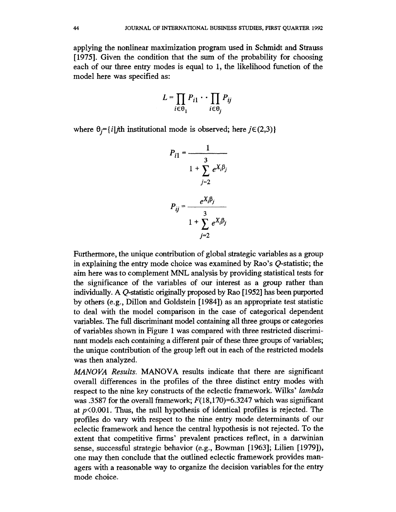**applying the nonlinear maximization program used in Schmidt and Strauss [1975]. Given the condition that the sum of the probability for choosing each of our three entry modes is equal to 1, the likelihood function of the model here was specified as:** 

$$
L=\prod_{i\in\Theta_1}P_{i1}\cdot\cdot\prod_{i\in\Theta_j}P_{ij}
$$

where  $\theta_i = \{i | j\text{th}$  institutional mode is observed; here  $j \in (2,3) \}$ 

$$
P_{i1} = \frac{1}{1 + \sum_{j=2}^{3} e^{X_j \beta_j}}
$$

$$
P_{ij} = \frac{e^{X_i \beta_j}}{1 + \sum_{j=2}^{3} e^{X_i \beta_j}}
$$

Furthermore, the unique contribution of global strategic variables as a group **in explaining the entry mode choice was examined by Rao's Q-statistic; the aim here was to complement MNL analysis by providing statistical tests for the significance of the variables of our interest as a group rather than individually. A Q-statistic originally proposed by Rao [1952] has been purported by others (e.g., Dillon and Goldstein [1984]) as an appropriate test statistic to deal with the model comparison in the case of categorical dependent variables. The full discriminant model containing all three groups or categories of variables shown in Figure 1 was compared with three restricted discrimi**nant models each containing a different pair of these three groups of variables; **the unique contribution of the group left out in each of the restricted models was then analyzed.** 

**MA NOVA Results. MANOVA results indicate that there are significant overall differences in the profiles of the three distinct entry modes with respect to the nine key constructs of the eclectic framework. Wilks' lambda**  was .3587 for the overall framework;  $F(18,170) = 6.3247$  which was significant at  $p<0.001$ . Thus, the null hypothesis of identical profiles is rejected. The profiles do vary with respect to the nine entry mode determinants of our **eclectic framework and hence the central hypothesis is not rejected. To the extent that competitive firms' prevalent practices reflect, in a darwinian sense, successful strategic behavior (e.g., Bowman [1963]; Lilien [1979]), one may then conclude that the outlined eclectic framework provides managers with a reasonable way to organize the decision variables for the entry**  mode choice.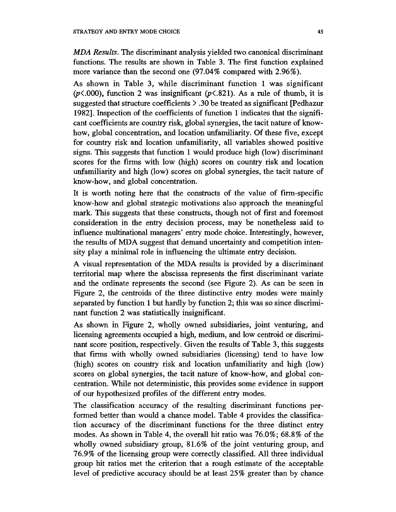**MDA Results. The discriminant analysis yielded two canonical discriminant functions. The results are shown in Table 3. The first function explained more variance than the second one (97.04% compared with 2.96%).** 

**As shown in Table 3, while discriminant function 1 was significant (p<.OOO), function 2 was insignificant (p<.821). As a rule of thumb, it is suggested that structure coefficients > .30 be treated as significant [Pedhazur 1982]. Inspection of the coefficients of function 1 indicates that the significant coefficients are country risk, global synergies, the tacit nature of knowhow, global concentration, and location unfamiliarity. Of these five, except for country risk and location unfamiliarity, all variables showed positive signs. This suggests that function 1 would produce high (low) discriminant scores for the firms with low (high) scores on country risk and location unfamiliarity and high (low) scores on global synergies, the tacit nature of know-how, and global concentration.** 

**It is worth noting here that the constructs of the value of firm-specific know-how and global strategic motivations also approach the meaningful mark. This suggests that these constructs, though not of first and foremost consideration in the entry decision process, may be nonetheless said to influence multinational managers' entry mode choice. Interestingly, however, the results of MDA suggest that demand uncertainty and competition intensity play a minimal role in influencing the ultimate entry decision.** 

**A visual representation of the MDA results is provided by a discriminant territorial map where the abscissa represents the first discriminant variate and the ordinate represents the second (see Figure 2). As can be seen in Figure 2, the centroids of the three distinctive entry modes were mainly separated by function 1 but hardly by function 2; this was so since discriminant function 2 was statistically insignificant.** 

**As shown in Figure 2, wholly owned subsidiaries, joint venturing, and licensing agreements occupied a high, medium, and low centroid or discriminant score position, respectively. Given the results of Table 3, this suggests that firms with wholly owned subsidiaries (licensing) tend to have low (high) scores on country risk and location unfamiliarity and high (low) scores on global synergies, the tacit nature of know-how, and global concentration. While not deterministic, this provides some evidence in support of our hypothesized profiles of the different entry modes.** 

**The classification accuracy of the resulting discriminant functions performed better than would a chance model. Table 4 provides the classification accuracy of the discriminant functions for the three distinct entry modes. As shown in Table 4, the overall hit ratio was 76.0%; 68.8% of the wholly owned subsidiary group, 81.6% of the joint venturing group, and 76.9% of the licensing group were correctly classified. All three individual group hit ratios met the criterion that a rough estimate of the acceptable level of predictive accuracy should be at least 25% greater than by chance**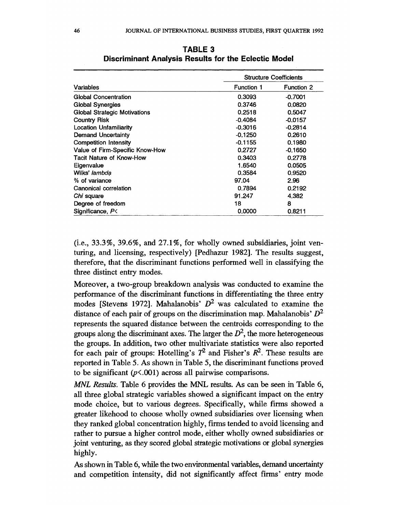|                                     |                   | <b>Structure Coefficients</b> |
|-------------------------------------|-------------------|-------------------------------|
| <b>Variables</b>                    | <b>Function 1</b> | <b>Function 2</b>             |
| <b>Global Concentration</b>         | 0.3093            | $-0.7001$                     |
| <b>Global Synergies</b>             | 0.3746            | 0.0820                        |
| <b>Global Strategic Motivations</b> | 0.2518            | 0.5047                        |
| <b>Country Risk</b>                 | $-0.4084$         | $-0.0157$                     |
| <b>Location Unfamiliarity</b>       | $-0.3016$         | $-0.2814$                     |
| <b>Demand Uncertainty</b>           | $-0.1250$         | 0.2610                        |
| <b>Competition Intensity</b>        | $-0.1155$         | 0.1980                        |
| Value of Firm-Specific Know-How     | 0.2727            | $-0.1650$                     |
| <b>Tacit Nature of Know-How</b>     | 0.3403            | 0.2778                        |
| Eigenvalue                          | 1.6540            | 0.0505                        |
| Wilks' lambda                       | 0.3584            | 0.9520                        |
| % of variance                       | 97.04             | 2.96                          |
| Canonical correlation               | 0.7894            | 0.2192                        |
| Chi square                          | 91.247            | 4.382                         |
| Degree of freedom                   | 18                | 8                             |
| Significance, $P<$                  | 0.0000            | 0.8211                        |

**TABLE 3 Discriminant Analysis Results for the Eclectic Model** 

**(i.e., 33.3%, 39.6%, and 27.1%, for wholly owned subsidiaries, joint venturing, and licensing, respectively) [Pedhazur 1982]. The results suggest, therefore, that the discriminant functions performed well in classifying the three distinct entry modes.** 

**Moreover, a two-group breakdown analysis was conducted to examine the performance of the discriminant functions in differentiating the three entry**  modes [Stevens 1972]. Mahalanobis'  $D^2$  was calculated to examine the **distance of each pair of groups on the discrimination map. Mahalanobis' D2 represents the squared distance between the centroids corresponding to the**  groups along the discriminant axes. The larger the  $D<sup>2</sup>$ , the more heterogeneous **the groups. In addition, two other multivariate statistics were also reported**  for each pair of groups: Hotelling's  $T^2$  and Fisher's  $R^2$ . These results are **reported in Table 5. As shown in Table 5, the discriminant functions proved to be significant (p<.OOl) across all pairwise comparisons.** 

**MNL Results. Table 6 provides the MNL results. As can be seen in Table 6, all three global strategic variables showed a significant impact on the entry mode choice, but to various degrees. Specifically, while firms showed a greater likehood to choose wholly owned subsidiaries over licensing when they ranked global concentration highly, firms tended to avoid licensing and rather to pursue a higher control mode, either wholly owned subsidiaries or joint venturing, as they scored global strategic motivations or global synergies highly.** 

**As shown in Table 6, while the two environmental variables, demand uncertainty and competition intensity, did not significantly affect finns' entry mode**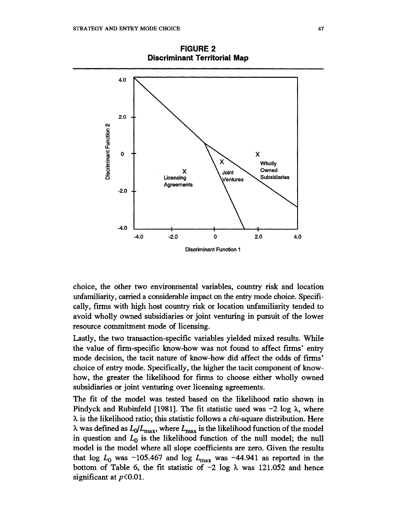**4.0**   $2.0$ **-2.0**   $\boldsymbol{\mathsf{x}}$  $E =$  **Next**  $\left\{ \begin{array}{ccc} x & \vee & \text{Which} \end{array} \right.$ **owned x**  $\begin{matrix} \downarrow \\ \downarrow \end{matrix}$  Owned  $\begin{matrix} \downarrow \\ \downarrow \end{matrix}$ **c] Li~~~censing \Vntures \Subsidiaries -2.0 4 Agreements 0 -4.0 C.o -4.0 -2.0 0 4.0 Discriminant Function 1** 

**FIGURE 2 Discriminant Territorial Map** 

**choice, the other two environmnental variables, country risk and location**  unfamiliarity, carried a considerable impact on the entry mode choice. Specifically, firms with high host country risk or location unfamiliarity tended to **avoid wholly owned subsidiaries or joint venturing in pursuit of the lower resource commitment mode of licensing.** 

**Lastly, the two transaction-specific-vaniables yielded mixed results. Whiile the value of firn-specific know-how was not found to affect finms' entry mode decision, the tacit nature of know-how did affect the odds of firms'**  choice of entry mode. Specifically, the higher the tacit component of know**how, the greater the likelihood for firis to choose either wholly owned subsidiaries or joint venturing over licensing agreements.** 

The fit of the model was tested based on the likelihood ratio shown in **Pindyck and Rubinfeld [1981]. The fit statistic used was -2 log X, where**   $\lambda$  is the likelihood ratio; this statistic follows a *chi*-square distribution. Here  $\lambda$  was defined as  $L_0/L_{\text{max}}$ , where  $L_{\text{max}}$  is the likelihood function of the model in question and  $L_0$  is the likelihood function of the null model; the null model is the model where all slope coefficients are zero. Given the results that  $\log L_0$  was -105.467 and  $\log L_{\text{max}}$  was -44.941 as reported in the bottom of Table 6, the fit statistic of  $-2$  log  $\lambda$  was 121.052 and hence significant at  $p<0.01$ .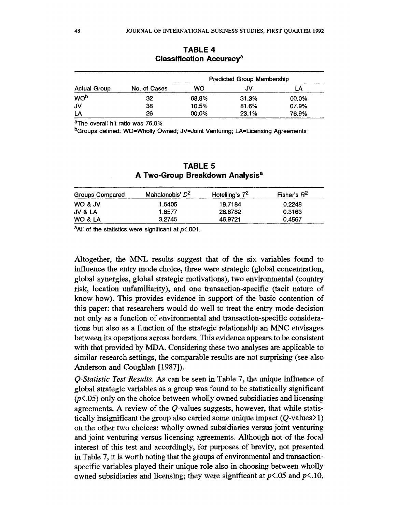|                     |              |           | <b>Predicted Group Membership</b> |       |
|---------------------|--------------|-----------|-----------------------------------|-------|
| <b>Actual Group</b> | No. of Cases | <b>WO</b> | JV                                | LA    |
| WO <sub>b</sub>     | 32           | 68.8%     | 31.3%                             | 00.0% |
| JV                  | 38           | 10.5%     | 81.6%                             | 07.9% |
| LA                  | 26           | 00.0%     | 23.1%                             | 76.9% |

**TABLE 4 Classification Accuracya** 

**aThe overall hit ratio was 76.0%** 

**bGroups defined: WO=Wholly Owned; JV=Joint Venturing; LA=Licensing Agreements** 

## **TABLE 5 A Two-Group Breakdown Analysisa**

| <b>Groups Compared</b> | Mahalanobis' D <sup>2</sup> | Hotelling's $T^2$ | Fisher's $R^2$ |
|------------------------|-----------------------------|-------------------|----------------|
| WO & JV                | 1.5405                      | 19.7184           | 0.2248         |
| JV & LA                | 1.8577                      | 28.6782           | 0.3163         |
| WO & LA                | 3.2745                      | 46.9721           | 0.4567         |

**aAll of the statistics were significant at p<.001.** 

**Altogether, the MNL results suggest that of the six variables found to influence the entry mode choice, three were strategic (global concentration, global synergies, global strategic motivations), two environmental (country risk, location unfamiliarity), and one transaction-specific (tacit nature of know-how). This provides evidence in support of the basic contention of this paper: that researchers would do well to treat the entry mode decision not only as a function of environmental and transaction-specific considerations but also as a function of the strategic relationship an MNC envisages between its operations across borders. This evidence appears to be consistent with that provided by MDA. Considering these two analyses are applicable to similar research settings, the comparable results are not surprising (see also Anderson and Coughlan [1987]).** 

**Q-Statistic Test Results. As can be seen in Table 7, the unique influence of global strategic variables as a group was found to be statistically significant (p<.05) only on the choice between wholly owned subsidiaries and licensing agreements. A review of the Q-values suggests, however, that while statistically insignificant the group also carried some unique impact (Q-values> 1) on the other two choices: wholly owned subsidiaries versus joint venturing and joint venturing versus licensing agreements. Although not of the focal interest of this test and accordingly, for purposes of brevity, not presented in Table 7, it is worth noting that the groups of environmental and transactionspecific variables played their unique role also in choosing between wholly**  owned subsidiaries and licensing; they were significant at  $p \le 0.05$  and  $p \le 10$ ,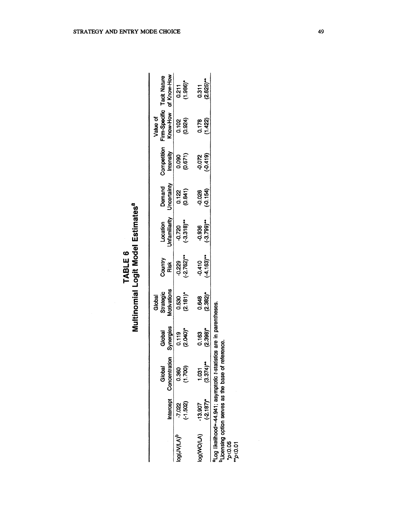| U<br>Ľ<br>TABL |  |
|----------------|--|
|                |  |

|                          |                           |                                                                                                                                                    |                      | Multinomial Logit Model Estimates <sup>a</sup> |                           |                                    |                       |                          |                                       |                                    |
|--------------------------|---------------------------|----------------------------------------------------------------------------------------------------------------------------------------------------|----------------------|------------------------------------------------|---------------------------|------------------------------------|-----------------------|--------------------------|---------------------------------------|------------------------------------|
|                          | Intercept                 | Concentration<br>Global                                                                                                                            | Synergies<br>Global  | Motivations<br>Strategic<br>Global             | Country<br>Risk           | Unfamiliarity<br>Location          | Uncertainty<br>Demand | Competition<br>Intensity | Firm-Specific<br>Know-How<br>Value of | of Know-How<br><b>Tacit Nature</b> |
| <sup>0</sup> (۱۷/۱۸)م    | $(-1.502)$<br>-7.022      | (1.700)<br>0.360                                                                                                                                   | $(2.040)^*$<br>0.119 | $(2.181)^*$<br>0.530                           | $(-2.762)$ **<br>-0.229   | $(-3.318)$ <sup>**</sup><br>-0.720 | (0.841)<br>0.122      | (0.671)<br>0.090         | (0.924)<br>0.102                      | $(1.986)^*$<br>0.211               |
| log(WO/LA)               | $-13.907$<br>$(-2.187)$ * | $1.031$<br>$(3.374)$ <sup>**</sup>                                                                                                                 | $(2.398)^*$<br>0.163 | $(2.382)^*$<br>0.648                           | $(-4.163)$ **<br>$-0.410$ | $(-3.799)^{***}$<br>-0.936         | (54)<br>-0.026        | (419)<br>-0.072          | (1.422)<br>0.178                      | $(2.625)$ <sup>**</sup><br>0.311   |
| 10(0.05)<br>$m_{p<0.01}$ |                           | <sup>a</sup> Log likelihood=-44.941; asymptotic t-statistics are in parentheses.<br><sup>b</sup> Licensing option serves as the base of reference. |                      |                                                |                           |                                    |                       |                          |                                       |                                    |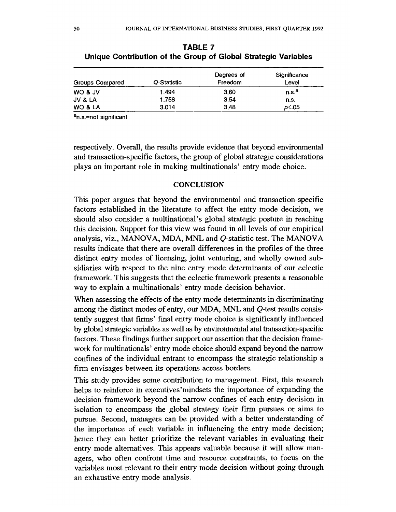| Groups Compared | Q-Statistic | Degrees of<br>Freedom | Significance<br>Level |
|-----------------|-------------|-----------------------|-----------------------|
| WO & JV         | 1.494       | 3.60                  | n.s. <sup>a</sup>     |
| JV & LA         | 1.758       | 3.54                  | n.s.                  |
| WO & LA         | 3.014       | 3,48                  | D≤.05                 |

**TABLE 7 Unique Contribution of the Group of Global Strategic Variables** 

**an.s.=not significant** 

**respectively. Overall, the results provide evidence that beyond environmental and transaction-specific factors, the group of global strategic considerations plays an important role in making multinationals' entry mode choice.** 

#### **CONCLUSION**

**This paper argues that beyond the environmental and transaction-specific factors established in the literature to affect the entry mode decision, we should also consider a multinational's global strategic posture in reaching this decision. Support for this view was found in all levels of our empirical analysis, viz., MANOVA, MDA, MNL and Q-statistic test. The MANOVA results indicate that there are overall differences in the profiles of the three distinct entry modes of licensing, joint venturing, and wholly owned subsidiaries with respect to the nine entry mode determinants of our eclectic framework. This suggests that the eclectic framework presents a reasonable way to explain a multinationals' entry mode decision behavior.** 

**When assessing the effects of the entry mode determinants in discriminating among the distinct modes of entry, our MDA, MNL and Q-test results consistently suggest that firms' final entry mode choice is significantly influenced by global strategic variables as well as by environmental and transaction-specific factors. These findings further support our assertion that the decision framework for multinationals' entry mode choice should expand beyond the narrow confines of the individual entrant to encompass the strategic relationship a firm envisages between its operations across borders.** 

**This study provides some contribution to management. First, this research helps to reinforce in executives'mindsets the importance of expanding the decision framework beyond the narrow confines of each entry decision in isolation to encompass the global strategy their firm pursues or aims to pursue. Second, managers can be provided with a better understanding of the importance of each variable in influencing the entry mode decision; hence they can better prioritize the relevant variables in evaluating their entry mode alternatives. This appears valuable because it will allow managers, who often confront time and resource constraints, to focus on the variables most relevant to their entry mode decision without going through an exhaustive entry mode analysis.**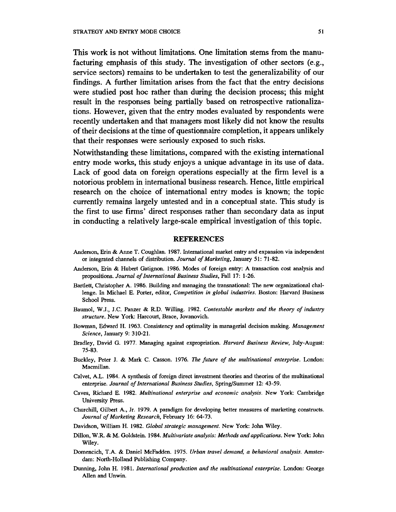**This work is not without limitations. One limitation stems from the manufacturing emphasis of this study. The investigation of other sectors (e.g., service sectors) remains to be undertaken to test the generalizability of our findings. A further limitation arises from the fact that the entry decisions were studied post hoc rather than during the decision process; this might result in the responses being partially based on retrospective rationalizations. However, given that the entry modes evaluated by respondents were recently undertaken and that managers most likely did not know the results of their decisions at the time of questionnaire completion, it appears unlikely that their responses were seriously exposed to such risks.** 

**Notwithstanding these limitations, compared with the existing international entry mode works, this study enjoys a unique advantage in its use of data. Lack of good data on foreign operations especially at the firm level is a notorious problem in international business research. Hence, little empirical research on the choice of international entry modes is known; the topic currently remains largely untested and in a conceptual state. This study is the first to use firms' direct responses rather than secondary data as input in conducting a relatively large-scale empirical investigation of this topic.** 

#### **REFERENCES**

- **Anderson, Erin & Anne T. Coughlan. 1987. International market entry and expansion via independent or integrated channels of distribution. Journal of Marketing, January 51: 71-82.**
- **Anderson, Erin & Hubert Gatignon. 1986. Modes of foreign entry: A transaction cost analysis and propositions. Journal of International Business Studies, Fall 17: 1-26.**
- **Bartlett, Christopher A. 1986. Building and managing the transnational: The new organizational challenge. In Michael E. Porter, editor, Competition in global industries. Boston: Harvard Business School Press.**
- **Baumol, W.J., J.C. Panzer & R.D. Willing. 1982. Contestable markets and the theory of industry structure. New York: Harcourt, Brace, Jovanovich.**
- **Bowman, Edward H. 1963. Consistency and optimality in managerial decision making. Management Science, January 9: 310-21.**
- **Bradley, David G. 1977. Managing against expropriation. Harvard Business Review, July-August: 75-83.**
- **Buckley, Peter J. & Mark C. Casson. 1976. The fuiture of the multinational enterprise. London: Macmillan.**
- **Calvet, A.L. 1984. A synthesis of foreign direct investment heories and theories of the multinational enterprise. Journal of International Business Studies, Spring/Summer 12: 43-59.**
- Caves, Richard E. 1982. *Multinational enterprise and economic analysis*. New York: Cambridge **University Press.**
- **Churchill, Gilbert A., Jr. 1979. A paradigm for developing better measures of marketing constructs. Journal of Marketing Research, February 16: 64-73.**
- **Davidson, William H. 1982. Global strategic management. New York: John Wiley.**
- **Dillon, W.R. & M. Goldstein. 1984. Multivariate analysis: Methods and applications. New York: John Wiley.**
- **Domencich, T.A. & Daniel McFadden. 1975. Urban travel demand, a behavioral analysis. Amsterdam: North-Holland Publishing Company.**
- **Dunning, John H. 1981. International production and the multinational enterprise. London: George Allen and Unwin.**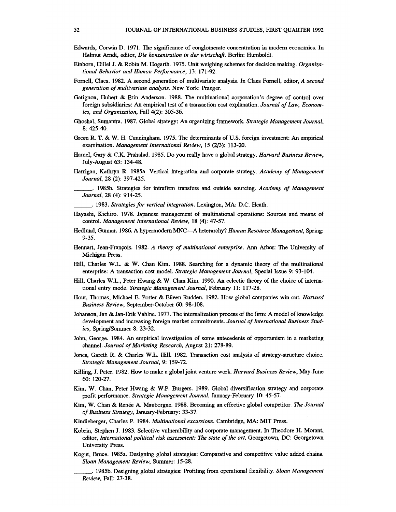- **Edwards, Corwin D. 1971. The significance of conglomerate concentration in modem economics. In Hehnut Arndt, editor, Die konzentration in der wirtschaft. Berlin: Humboldt.**
- **Einhorn, Hillel J. & Robin M. Hogarth. 1975. Unit weighing schemes for decision making. Organizational Behavior and Human Performance, 13: 171-92.**
- **Fornell, Claes. 1982. A second generation of multivariate analysis. In Claes Fornell, editor, A second generation of multivariate analysis. New York: Praeger.**
- **Gatignon, Hubert & Erin Anderson. 1988. The multinational corporation's degree of control over foreign subsidiaries: An empirical test of a transaction cost explanation. Journal of Law, Economics, and Organization, Fall 4(2): 305-36.**
- **Ghoshal, Sumantra. 1987. Global strategy: An organizing framework. Strategic Management Journal, 8: 425-40.**
- **Green R. T. & W. H. Cunningham. 1975. The determinants of U.S. foreign investment: An empirical examination. Management International Review, 15 (2/3): 113-20.**
- **Hamel, Gary & C.K. Prahalad. 1985. Do you really have a global strategy. Harvard Business Review, July-August 63: 134-48.**
- **Harrigan, Kathryn R. 1985a. Vertical integration and corporate strategy. Academy of Management Journal, 28 (2): 397-425.** 
	- **\_\_\_\_\_\*. 1985b. Strategies for intrafmn transfers and outside sourcing. Academy of Management Journal, 28 (4): 914-25.**

**. 1983. Strategies for vertical integration. Lexington, MA: D.C. Heath.** 

- **Hayashi, Kichiro. 1978. Japanese management of multinational operations: Sources and means of control. Management International Review, 18 (4): 47-57.**
- **Hedlund, Gunnar. 1986. A hypermodern MNC-A heterarchy? Human Resource Management, Spring: 9-35.**
- **Hennart, Jean-Francois. 1982. A theory of multinational enterprise. Ann Arbor: The University of Michigan Press.**
- **Hill, Charles W.L. & W. Chan Kim. 1988. Searching for a dynamic theory of the multinational enterprise: A transaction cost model. Strategic Management Journal, Special Issue 9: 93-104.**
- **Hill, Charles W.L., Peter Hwang & W. Chan Kim. 1990. An eclectic theory of the choice of international entry mode. Strategic Management Journal, February 11: 117-28.**
- **Hout, Thomas, Michael E. Porter & Eileen Rudden. 1982. How global companies win out. Harvard Business Review, September-October 60: 98-108.**
- **Johanson, Jan & Jan-Erik Vahlne. 1977. The internalization process of the firm: A model of knowledge development and increasing foreign market commitments. Journal of International Business Studies, Spring/Summer 8: 23-32.**
- **John, George. 1984. An empirical investigation of some antecedents of opportunism in a marketing channel. Journal of Marketing Research, August 21: 278-89.**
- **Jones, Gareth R. & Charles W.L. Hill. 1982. Transaction cost analysis of strategy-structure choice. Strategic Management Journal, 9: 159-72.**
- **Killing, J. Peter. 1982. How to make a global joint venture work. Harvard Business Review, May-June 60: 120-27.**
- **Kim, W. Chan, Peter Hwang & W.P. Burgers. 1989. Global diversification strategy and corporate profit performance. Strategic Management Journal, January-February 10: 45-57.**
- Kim, W. Chan & Renée A. Mauborgne. 1988. Becoming an effective global competitor. The Journal **of Business Strategy, January-February: 33-37.**
- **Kindleberger, Charles P. 1984. Multinational excursions. Cambridge, MA: MIT Press.**
- **Kobrin, Stephen J. 1983. Selective vulnerability and corporate management. In Theodore H. Morant, editor, International political risk assessment: The state of the art. Georgetown, DC: Georgetown University Press.**
- **Kogut, Bruce. 1985a. Designing global strategies: Comparative and competitive value added chains. Sloan Management Review, Summer: 15-28.** 
	- **. 1985b. Designing global strategies: Profiting from operational flexibility. Sloan Management Review, Fall: 27-38.**